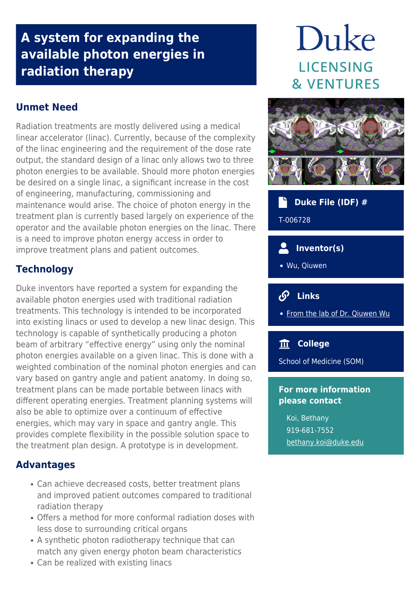## **A system for expanding the available photon energies in radiation therapy**

#### **Unmet Need**

Radiation treatments are mostly delivered using a medical linear accelerator (linac). Currently, because of the complexity of the linac engineering and the requirement of the dose rate output, the standard design of a linac only allows two to three photon energies to be available. Should more photon energies be desired on a single linac, a significant increase in the cost of engineering, manufacturing, commissioning and maintenance would arise. The choice of photon energy in the treatment plan is currently based largely on experience of the operator and the available photon energies on the linac. There is a need to improve photon energy access in order to improve treatment plans and patient outcomes.

# Duke **LICENSING & VENTURES**



 **Duke File (IDF) #**

T-006728

#### **Inventor(s)**

Wu, Qiuwen

#### $\mathcal{S}$  **Links**

• [From the lab of Dr. Qiuwen Wu](https://medicalphysics.duke.edu/faculty_member/48)

#### **College**

School of Medicine (SOM)

#### **For more information please contact**

Koi, Bethany 919-681-7552 [bethany.koi@duke.edu](mailto:bethany.koi@duke.edu)

### **Technology**

Duke inventors have reported a system for expanding the available photon energies used with traditional radiation treatments. This technology is intended to be incorporated into existing linacs or used to develop a new linac design. This technology is capable of synthetically producing a photon beam of arbitrary "effective energy" using only the nominal photon energies available on a given linac. This is done with a weighted combination of the nominal photon energies and can vary based on gantry angle and patient anatomy. In doing so, treatment plans can be made portable between linacs with different operating energies. Treatment planning systems will also be able to optimize over a continuum of effective energies, which may vary in space and gantry angle. This provides complete flexibility in the possible solution space to the treatment plan design. A prototype is in development.

#### **Advantages**

- Can achieve decreased costs, better treatment plans and improved patient outcomes compared to traditional radiation therapy
- Offers a method for more conformal radiation doses with less dose to surrounding critical organs
- A synthetic photon radiotherapy technique that can match any given energy photon beam characteristics
- Can be realized with existing linacs